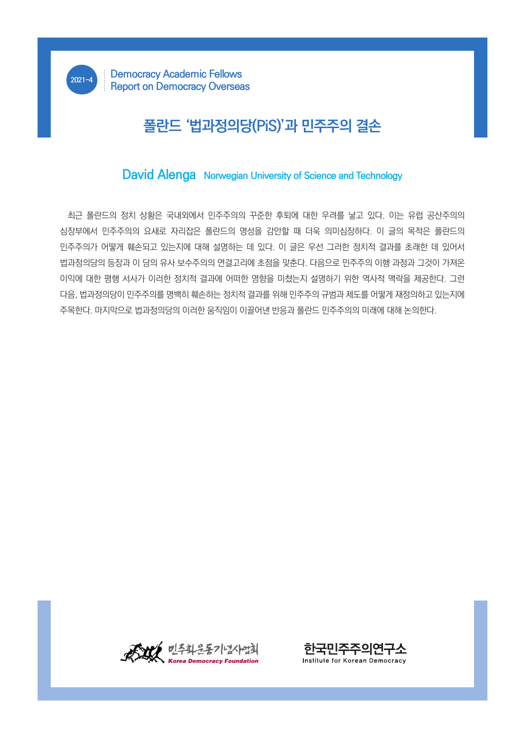## **폴란드 '법과정의당(PiS)'과 민주주의 결손**

## **David Alenga Norwegian University of Science and Technology**

최근 폴란드의 정치 상황은 국내외에서 민주주의의 꾸준한 후퇴에 대한 우려를 낳고 있다. 이는 유럽 공산주의의 심장부에서 민주주의의 요새로 자리잡은 폴란드의 명성을 감안할 때 더욱 의미심장하다. 이 글의 목적은 폴란드의 민주주의가 어떻게 훼손되고 있는지에 대해 설명하는 데 있다. 이 글은 우선 그러한 정치적 결과를 초래한 데 있어서 법과정의당의 등장과 이 당의 유사 보수주의의 연결고리에 초점을 맞춘다. 다음으로 민주주의 이행 과정과 그것이 가져온 이익에 대한 평행 서사가 이러한 정치적 결과에 어떠한 영향을 미쳤는지 설명하기 위한 역사적 맥락을 제공한다. 그런 다음, 법과정의당이 민주주의를 명백히 훼손하는 정치적 결과를 위해 민주주의 규범과 제도를 어떻게 재정의하고 있는지에 주목한다. 마지막으로 법과정의당의 이러한 움직임이 이끌어낸 반응과 폴란드 민주주의의 미래에 대해 논의한다.